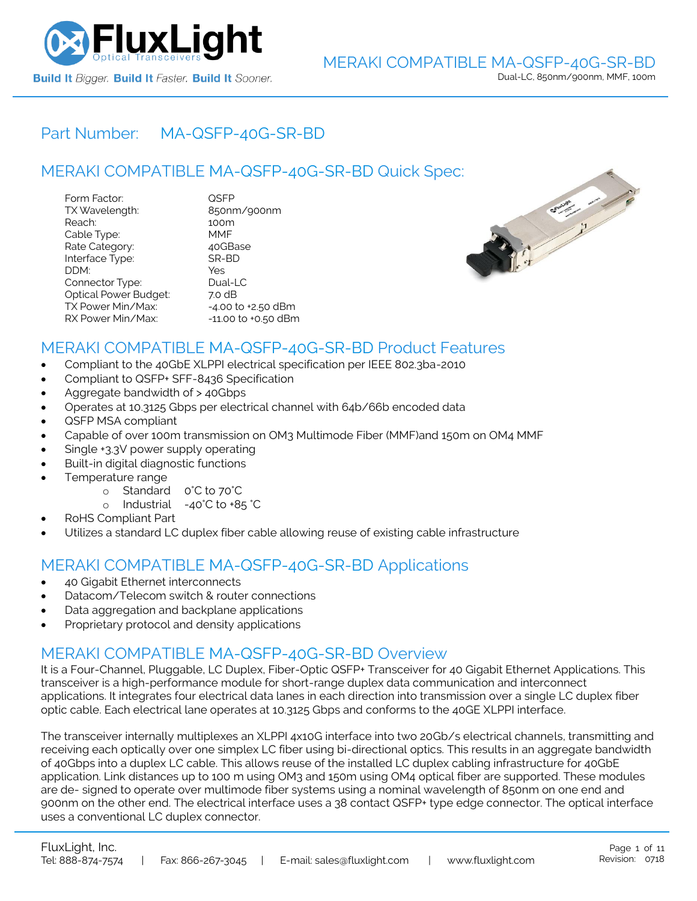

# Part Number: [MA-QSFP-40G-SR-BD](https://www.fluxlight.com/ma-qsfp-40g-sr-bd/)

# MERAKI COMPATIBLE [MA-QSFP-40G-SR-BD](https://www.fluxlight.com/ma-qsfp-40g-sr-bd/) Quick Spec:

| Form Factor:                 | QSFP                |
|------------------------------|---------------------|
| TX Wavelength:               | 850nm/900nm         |
| Reach:                       | 100m                |
| Cable Type:                  | MMF                 |
| Rate Category:               | 40GBase             |
| Interface Type:              | SR-BD               |
| DDM:                         | Yes                 |
| Connector Type:              | Dual-LC             |
| <b>Optical Power Budget:</b> | 7.0 dB              |
| TX Power Min/Max:            | -4.00 to +2.50 dBm  |
| RX Power Min/Max:            | -11.00 to +0.50 dBm |



### MERAKI COMPATIBLE [MA-QSFP-40G-SR-BD](https://www.fluxlight.com/ma-qsfp-40g-sr-bd/) Product Features

- Compliant to the 40GbE XLPPI electrical specification per IEEE 802.3ba-2010
- Compliant to QSFP+ SFF-8436 Specification
- Aggregate bandwidth of > 40Gbps
- Operates at 10.3125 Gbps per electrical channel with 64b/66b encoded data
- QSFP MSA compliant
- Capable of over 100m transmission on OM3 Multimode Fiber (MMF)and 150m on OM4 MMF
- Single +3.3V power supply operating
- Built-in digital diagnostic functions
- Temperature range
	- o Standard 0°C to 70°C
	- o Industrial -40°C to +85 °C
- RoHS Compliant Part
- Utilizes a standard LC duplex fiber cable allowing reuse of existing cable infrastructure

# MERAKI COMPATIBLE [MA-QSFP-40G-SR-BD](https://www.fluxlight.com/ma-qsfp-40g-sr-bd/) Applications

- 40 Gigabit Ethernet interconnects
- Datacom/Telecom switch & router connections
- Data aggregation and backplane applications
- Proprietary protocol and density applications

### MERAKI COMPATIBLE [MA-QSFP-40G-SR-BD](https://www.fluxlight.com/ma-qsfp-40g-sr-bd/) Overview

It is a Four-Channel, Pluggable, LC Duplex, Fiber-Optic QSFP+ Transceiver for 40 Gigabit Ethernet Applications. This transceiver is a high-performance module for short-range duplex data communication and interconnect applications. It integrates four electrical data lanes in each direction into transmission over a single LC duplex fiber optic cable. Each electrical lane operates at 10.3125 Gbps and conforms to the 40GE XLPPI interface.

The transceiver internally multiplexes an XLPPI 4x10G interface into two 20Gb/s electrical channels, transmitting and receiving each optically over one simplex LC fiber using bi-directional optics. This results in an aggregate bandwidth of 40Gbps into a duplex LC cable. This allows reuse of the installed LC duplex cabling infrastructure for 40GbE application. Link distances up to 100 m using OM3 and 150m using OM4 optical fiber are supported. These modules are de- signed to operate over multimode fiber systems using a nominal wavelength of 850nm on one end and 900nm on the other end. The electrical interface uses a 38 contact QSFP+ type edge connector. The optical interface uses a conventional LC duplex connector.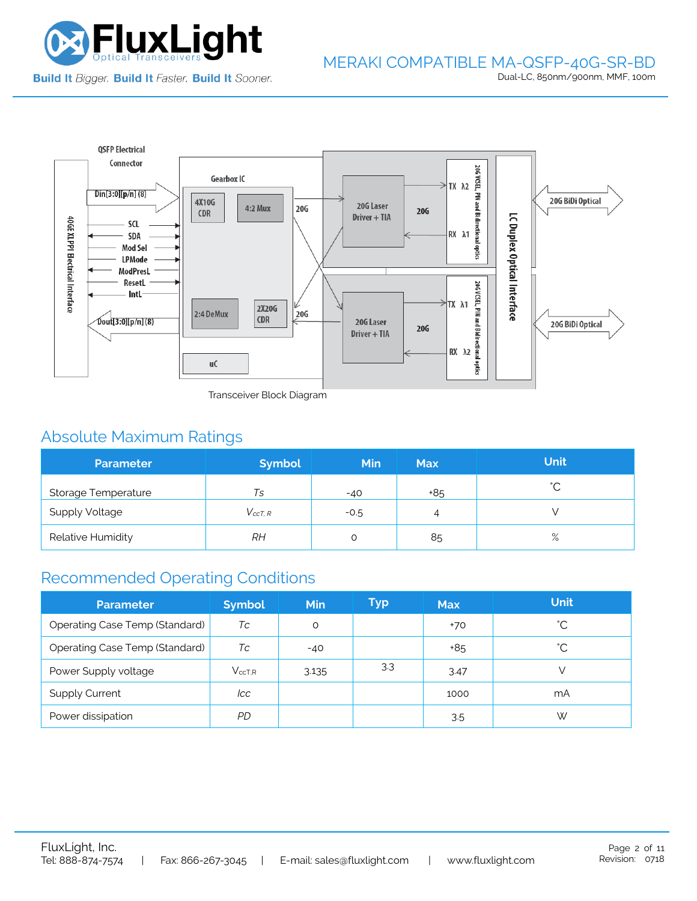



Transceiver Block Diagram

# Absolute Maximum Ratings

| <b>Parameter</b>      | <b>Symbol</b>  | <b>Min</b> | <b>Max</b> | <b>Unit</b> |
|-----------------------|----------------|------------|------------|-------------|
| Storage Temperature   | Ts             | $-40$      | +85        | $\hat{ }$   |
| <b>Supply Voltage</b> | $V_{c c T. R}$ | $-0.5$     | 4          |             |
| Relative Humidity     | RН             |            | 85         | $\%$        |

# Recommended Operating Conditions

| <b>Parameter</b>               | <b>Symbol</b> | Min   | Typ | <b>Max</b> | <b>Unit</b> |
|--------------------------------|---------------|-------|-----|------------|-------------|
| Operating Case Temp (Standard) | Тc            | O     |     | $+70$      | °С          |
| Operating Case Temp (Standard) | Тc            | $-40$ |     | +85        | °С          |
| Power Supply voltage           | $V_{ccT.R}$   | 3.135 | 3.3 | 3.47       |             |
| <b>Supply Current</b>          | lcc           |       |     | 1000       | mA          |
| Power dissipation              | PD            |       |     | 3.5        | W           |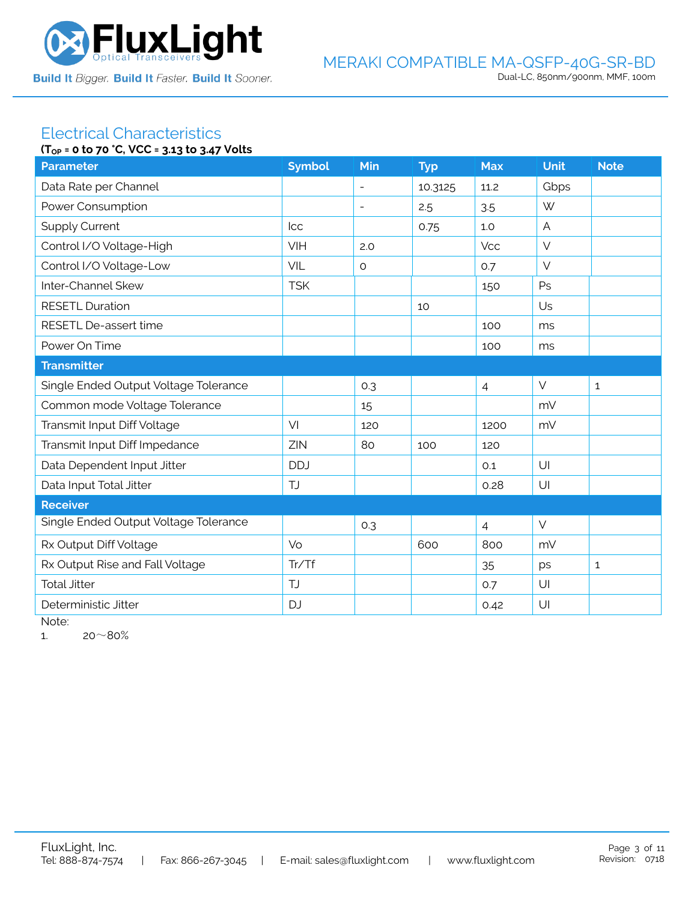

# Electrical Characteristics

| (T <sub>OP</sub> = 0 to 70 °C, VCC = 3.13 to 3.47 Volts |               |                          |            |                |                |              |  |
|---------------------------------------------------------|---------------|--------------------------|------------|----------------|----------------|--------------|--|
| <b>Parameter</b>                                        | <b>Symbol</b> | Min                      | <b>Typ</b> | <b>Max</b>     | <b>Unit</b>    | <b>Note</b>  |  |
| Data Rate per Channel                                   |               | $\overline{\phantom{0}}$ | 10.3125    | 11.2           | Gbps           |              |  |
| Power Consumption                                       |               | $\overline{\phantom{a}}$ | 2.5        | 3.5            | W              |              |  |
| <b>Supply Current</b>                                   | Icc           |                          | 0.75       | 1.0            | $\overline{A}$ |              |  |
| Control I/O Voltage-High                                | <b>VIH</b>    | 2.0                      |            | <b>Vcc</b>     | $\vee$         |              |  |
| Control I/O Voltage-Low                                 | VIL           | $\circ$                  |            | 0.7            | $\vee$         |              |  |
| Inter-Channel Skew                                      | <b>TSK</b>    |                          |            | 150            | Ps             |              |  |
| <b>RESETL Duration</b>                                  |               |                          | 10         |                | Us             |              |  |
| RESETL De-assert time                                   |               |                          |            | 100            | ms             |              |  |
| Power On Time                                           |               |                          |            | 100            | ms             |              |  |
| <b>Transmitter</b>                                      |               |                          |            |                |                |              |  |
| Single Ended Output Voltage Tolerance                   |               | 0.3                      |            | $\overline{4}$ | $\vee$         | $\mathbf{1}$ |  |
| Common mode Voltage Tolerance                           |               | 15                       |            |                | mV             |              |  |
| Transmit Input Diff Voltage                             | VI            | 120                      |            | 1200           | mV             |              |  |
| Transmit Input Diff Impedance                           | ZIN           | 80                       | 100        | 120            |                |              |  |
| Data Dependent Input Jitter                             | <b>DDJ</b>    |                          |            | 0.1            | U              |              |  |
| Data Input Total Jitter                                 | <b>TJ</b>     |                          |            | 0.28           | U              |              |  |
| <b>Receiver</b>                                         |               |                          |            |                |                |              |  |
| Single Ended Output Voltage Tolerance                   |               | 0.3                      |            | $\overline{4}$ | $\vee$         |              |  |
| Rx Output Diff Voltage                                  | Vo            |                          | 600        | 800            | mV             |              |  |
| Rx Output Rise and Fall Voltage                         | Tr/Tf         |                          |            | 35             | ps             | $\mathbf{1}$ |  |
| <b>Total Jitter</b>                                     | <b>TJ</b>     |                          |            | O.7            | U              |              |  |
| Deterministic Jitter                                    | <b>DJ</b>     |                          |            | 0.42           | U              |              |  |

Note:

1.  $20~80%$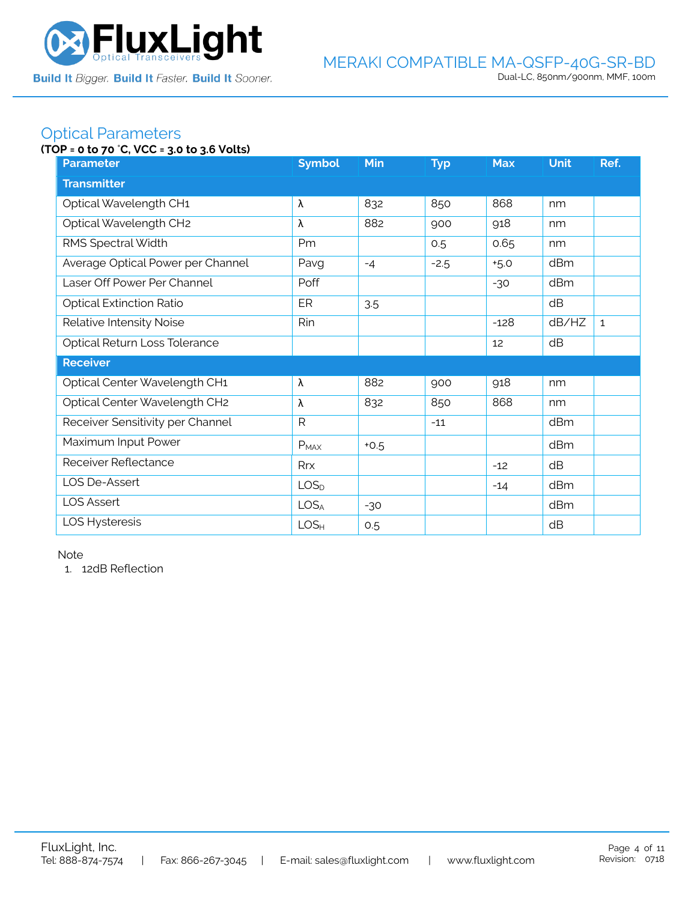

## Optical Parameters

#### **(TOP = 0 to 70** °**C, VCC = 3.0 to 3.6 Volts)**

| <b>Parameter</b>                  | <b>Symbol</b>    | Min    | <b>Typ</b> | <b>Max</b> | <b>Unit</b> | Ref.         |  |  |  |
|-----------------------------------|------------------|--------|------------|------------|-------------|--------------|--|--|--|
| <b>Transmitter</b>                |                  |        |            |            |             |              |  |  |  |
| Optical Wavelength CH1            | λ                | 832    | 850        | 868        | nm          |              |  |  |  |
| Optical Wavelength CH2            | λ                | 882    | 900        | 918        | nm          |              |  |  |  |
| RMS Spectral Width                | Pm               |        | 0.5        | 0.65       | nm          |              |  |  |  |
| Average Optical Power per Channel | Pavg             | $-4$   | $-2.5$     | $+5.0$     | dBm         |              |  |  |  |
| Laser Off Power Per Channel       | Poff             |        |            | $-30$      | dBm         |              |  |  |  |
| <b>Optical Extinction Ratio</b>   | ER               | 3.5    |            |            | dB          |              |  |  |  |
| Relative Intensity Noise          | Rin              |        |            | $-128$     | dB/HZ       | $\mathbf{1}$ |  |  |  |
| Optical Return Loss Tolerance     |                  |        |            | 12         | dB          |              |  |  |  |
| <b>Receiver</b>                   |                  |        |            |            |             |              |  |  |  |
| Optical Center Wavelength CH1     | λ                | 882    | 900        | 918        | nm          |              |  |  |  |
| Optical Center Wavelength CH2     | λ                | 832    | 850        | 868        | nm          |              |  |  |  |
| Receiver Sensitivity per Channel  | R                |        | $-11$      |            | dBm         |              |  |  |  |
| Maximum Input Power               | $P_{MAX}$        | $+0.5$ |            |            | dBm         |              |  |  |  |
| Receiver Reflectance              | <b>Rrx</b>       |        |            | $-12$      | dB          |              |  |  |  |
| LOS De-Assert                     | LOS <sub>D</sub> |        |            | $-14$      | dBm         |              |  |  |  |
| <b>LOS Assert</b>                 | LOS <sub>A</sub> | $-30$  |            |            | dBm         |              |  |  |  |
| LOS Hysteresis                    | LOS <sub>H</sub> | 0.5    |            |            | dB          |              |  |  |  |

Note

1. 12dB Reflection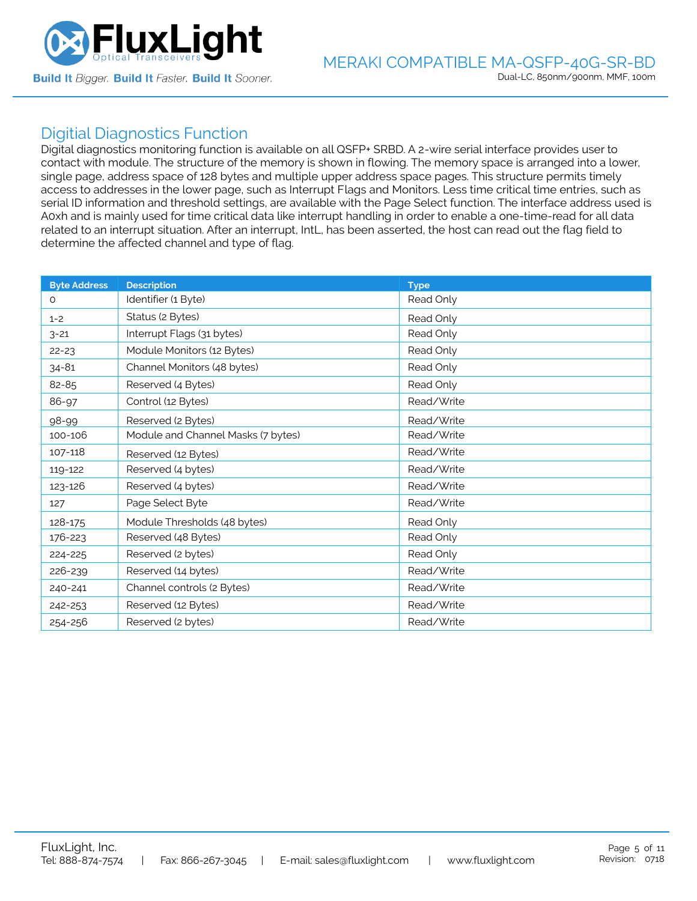

### Digitial Diagnostics Function

Digital diagnostics monitoring function is available on all QSFP+ SRBD. A 2-wire serial interface provides user to contact with module. The structure of the memory is shown in flowing. The memory space is arranged into a lower, single page, address space of 128 bytes and multiple upper address space pages. This structure permits timely access to addresses in the lower page, such as Interrupt Flags and Monitors. Less time critical time entries, such as serial ID information and threshold settings, are available with the Page Select function. The interface address used is A0xh and is mainly used for time critical data like interrupt handling in order to enable a one-time-read for all data related to an interrupt situation. After an interrupt, IntL, has been asserted, the host can read out the flag field to determine the affected channel and type of flag.

| <b>Byte Address</b> | <b>Description</b>                 | <b>Type</b> |
|---------------------|------------------------------------|-------------|
| 0                   | Identifier (1 Byte)                | Read Only   |
| $1 - 2$             | Status (2 Bytes)                   | Read Only   |
| $3 - 21$            | Interrupt Flags (31 bytes)         | Read Only   |
| $22 - 23$           | Module Monitors (12 Bytes)         | Read Only   |
| $34 - 81$           | Channel Monitors (48 bytes)        | Read Only   |
| 82-85               | Reserved (4 Bytes)                 | Read Only   |
| 86-97               | Control (12 Bytes)                 | Read/Write  |
| 98-99               | Reserved (2 Bytes)                 | Read/Write  |
| 100-106             | Module and Channel Masks (7 bytes) | Read/Write  |
| 107-118             | Reserved (12 Bytes)                | Read/Write  |
| 119-122             | Reserved (4 bytes)                 | Read/Write  |
| 123-126             | Reserved (4 bytes)                 | Read/Write  |
| 127                 | Page Select Byte                   | Read/Write  |
| 128-175             | Module Thresholds (48 bytes)       | Read Only   |
| 176-223             | Reserved (48 Bytes)                | Read Only   |
| 224-225             | Reserved (2 bytes)                 | Read Only   |
| 226-239             | Reserved (14 bytes)                | Read/Write  |
| 240-241             | Channel controls (2 Bytes)         | Read/Write  |
| 242-253             | Reserved (12 Bytes)                | Read/Write  |
| 254-256             | Reserved (2 bytes)                 | Read/Write  |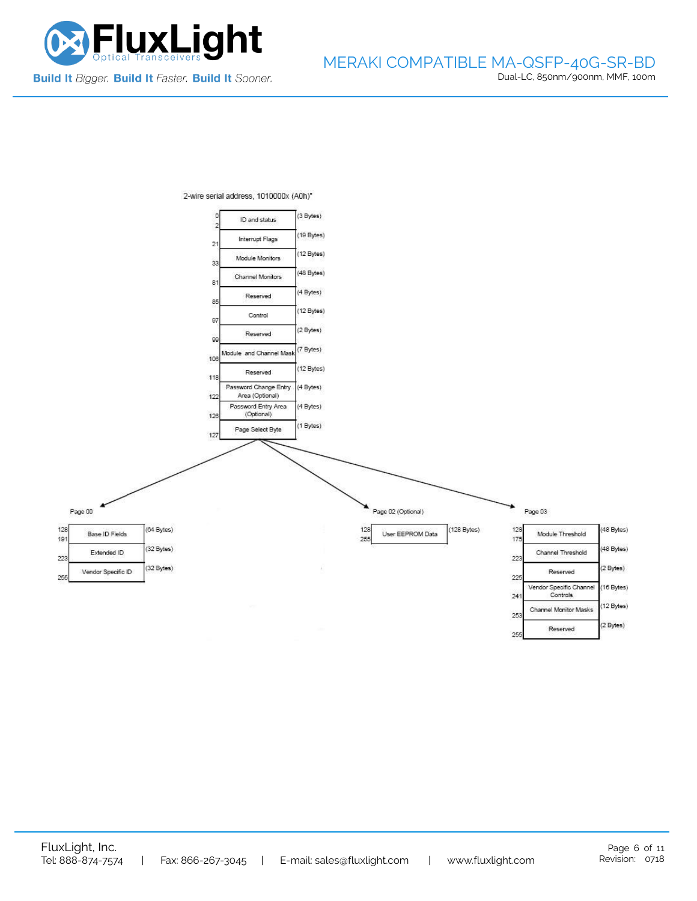



2-wire serial address, 1010000x (A0h)"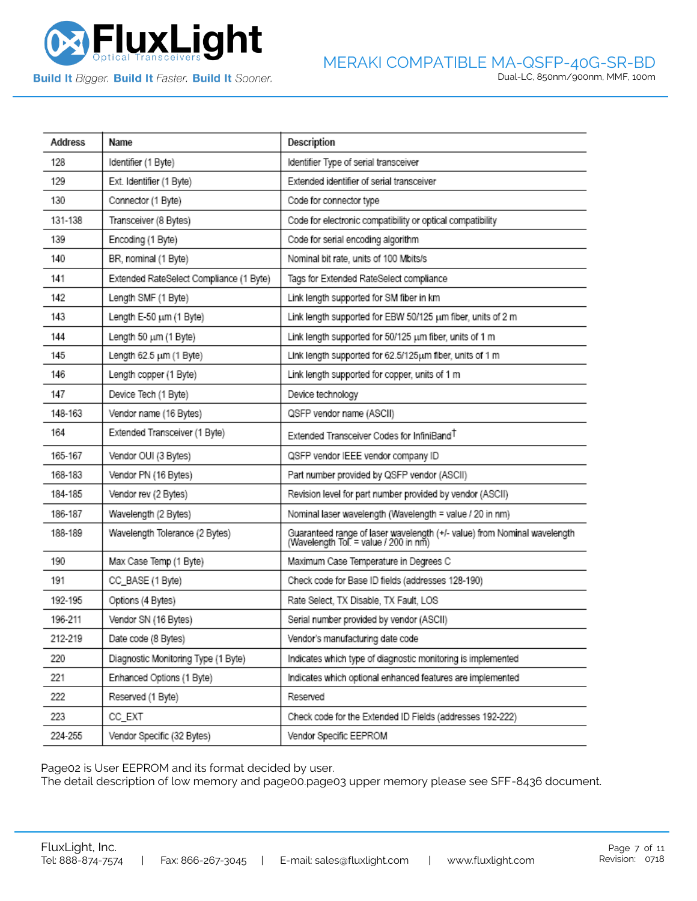

**Build It Bigger. Build It Faster. Build It Sooner.** 

| <b>Address</b> | Name                                    | Description                                                                                                       |
|----------------|-----------------------------------------|-------------------------------------------------------------------------------------------------------------------|
| 128            | Identifier (1 Byte)                     | Identifier Type of serial transceiver                                                                             |
| 129            | Ext. Identifier (1 Byte)                | Extended identifier of serial transceiver                                                                         |
| 130            | Connector (1 Byte)                      | Code for connector type                                                                                           |
| 131-138        | Transceiver (8 Bytes)                   | Code for electronic compatibility or optical compatibility                                                        |
| 139            | Encoding (1 Byte)                       | Code for serial encoding algorithm                                                                                |
| 140            | BR, nominal (1 Byte)                    | Nominal bit rate, units of 100 Mbits/s                                                                            |
| 141            | Extended RateSelect Compliance (1 Byte) | Tags for Extended RateSelect compliance                                                                           |
| 142            | Length SMF (1 Byte)                     | Link length supported for SM fiber in km                                                                          |
| 143            | Length E-50 um (1 Byte)                 | Link length supported for EBW 50/125 um fiber, units of 2 m                                                       |
| 144            | Length 50 um (1 Byte)                   | Link length supported for 50/125 um fiber, units of 1 m                                                           |
| 145            | Length 62.5 um (1 Byte)                 | Link length supported for 62.5/125um fiber, units of 1 m                                                          |
| 146            | Length copper (1 Byte)                  | Link length supported for copper, units of 1 m                                                                    |
| 147            | Device Tech (1 Byte)                    | Device technology                                                                                                 |
| 148-163        | Vendor name (16 Bytes)                  | QSFP vendor name (ASCII)                                                                                          |
| 164            | Extended Transceiver (1 Byte)           | Extended Transceiver Codes for InfiniBand <sup>T</sup>                                                            |
| 165-167        | Vendor OUI (3 Bytes)                    | QSFP vendor IEEE vendor company ID                                                                                |
| 168-183        | Vendor PN (16 Bytes)                    | Part number provided by QSFP vendor (ASCII)                                                                       |
| 184-185        | Vendor rev (2 Bytes)                    | Revision level for part number provided by vendor (ASCII)                                                         |
| 186-187        | Wavelength (2 Bytes)                    | Nominal laser wavelength (Wavelength = value / 20 in nm)                                                          |
| 188-189        | Wavelength Tolerance (2 Bytes)          | Guaranteed range of laser wavelength (+/- value) from Nominal wavelength<br>(Wavelength Tol. = value / 200 in nm) |
| 190            | Max Case Temp (1 Byte)                  | Maximum Case Temperature in Degrees C                                                                             |
| 191            | CC_BASE (1 Byte)                        | Check code for Base ID fields (addresses 128-190)                                                                 |
| 192-195        | Options (4 Bytes)                       | Rate Select, TX Disable, TX Fault, LOS                                                                            |
| 196-211        | Vendor SN (16 Bytes)                    | Serial number provided by vendor (ASCII)                                                                          |
| 212-219        | Date code (8 Bytes)                     | Vendor's manufacturing date code                                                                                  |
| 220            | Diagnostic Monitoring Type (1 Byte)     | Indicates which type of diagnostic monitoring is implemented                                                      |
| 221            | Enhanced Options (1 Byte)               | Indicates which optional enhanced features are implemented                                                        |
| 222            | Reserved (1 Byte)                       | Reserved                                                                                                          |
| 223            | CC_EXT                                  | Check code for the Extended ID Fields (addresses 192-222)                                                         |
| 224-255        | Vendor Specific (32 Bytes)              | Vendor Specific EEPROM                                                                                            |

Page02 is User EEPROM and its format decided by user.

The detail description of low memory and page00.page03 upper memory please see SFF-8436 document.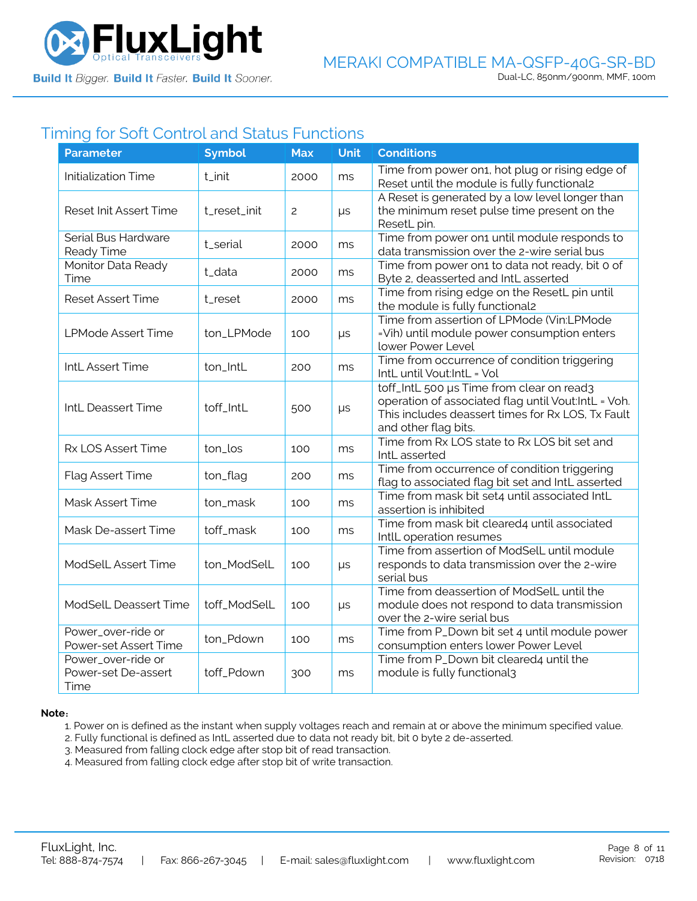

# Timing for Soft Control and Status Functions

| <b>Parameter</b>                                  | <b>Symbol</b> | <b>Max</b>     | <b>Unit</b> | <b>Conditions</b>                                                                                                                                                             |
|---------------------------------------------------|---------------|----------------|-------------|-------------------------------------------------------------------------------------------------------------------------------------------------------------------------------|
| <b>Initialization Time</b>                        | t_init        | 2000           | ms          | Time from power on1, hot plug or rising edge of<br>Reset until the module is fully functional2                                                                                |
| Reset Init Assert Time                            | t_reset_init  | $\overline{c}$ | $\mu s$     | A Reset is generated by a low level longer than<br>the minimum reset pulse time present on the<br>ResetL pin.                                                                 |
| Serial Bus Hardware<br>Ready Time                 | t_serial      | 2000           | ms          | Time from power on1 until module responds to<br>data transmission over the 2-wire serial bus                                                                                  |
| Monitor Data Ready<br>Time                        | t_data        | 2000           | ms          | Time from power on1 to data not ready, bit 0 of<br>Byte 2, deasserted and IntL asserted                                                                                       |
| <b>Reset Assert Time</b>                          | t_reset       | 2000           | ms          | Time from rising edge on the ResetL pin until<br>the module is fully functional2                                                                                              |
| LPMode Assert Time                                | ton_LPMode    | 100            | μs          | Time from assertion of LPMode (Vin:LPMode<br>=Vih) until module power consumption enters<br>lower Power Level                                                                 |
| IntL Assert Time                                  | ton_IntL      | 200            | ms          | Time from occurrence of condition triggering<br>IntL until Vout:IntL = Vol                                                                                                    |
| IntL Deassert Time                                | toff_IntL     | 500            | $\mu s$     | toff_IntL 500 µs Time from clear on read3<br>operation of associated flag until Vout:IntL = Voh.<br>This includes deassert times for Rx LOS, Tx Fault<br>and other flag bits. |
| Rx LOS Assert Time                                | ton_los       | 100            | ms          | Time from Rx LOS state to Rx LOS bit set and<br>IntL asserted                                                                                                                 |
| Flag Assert Time                                  | ton_flag      | 200            | ms          | Time from occurrence of condition triggering<br>flag to associated flag bit set and IntL asserted                                                                             |
| Mask Assert Time                                  | ton_mask      | 100            | ms          | Time from mask bit set4 until associated IntL<br>assertion is inhibited                                                                                                       |
| Mask De-assert Time                               | toff_mask     | 100            | ms          | Time from mask bit cleared4 until associated<br>IntlL operation resumes                                                                                                       |
| ModSelL Assert Time                               | ton_ModSelL   | 100            | μs          | Time from assertion of ModSelL until module<br>responds to data transmission over the 2-wire<br>serial bus                                                                    |
| <b>ModSelL Deassert Time</b>                      | toff_ModSelL  | 100            | $\mu s$     | Time from deassertion of ModSelL until the<br>module does not respond to data transmission<br>over the 2-wire serial bus                                                      |
| Power_over-ride or<br>Power-set Assert Time       | ton_Pdown     | 100            | ms          | Time from P_Down bit set 4 until module power<br>consumption enters lower Power Level                                                                                         |
| Power_over-ride or<br>Power-set De-assert<br>Time | toff_Pdown    | 300            | ms          | Time from P_Down bit cleared4 until the<br>module is fully functional3                                                                                                        |

#### **Note**:

1. Power on is defined as the instant when supply voltages reach and remain at or above the minimum specified value.

- 2. Fully functional is defined as IntL asserted due to data not ready bit, bit 0 byte 2 de-asserted.
- 3. Measured from falling clock edge after stop bit of read transaction.
- 4. Measured from falling clock edge after stop bit of write transaction.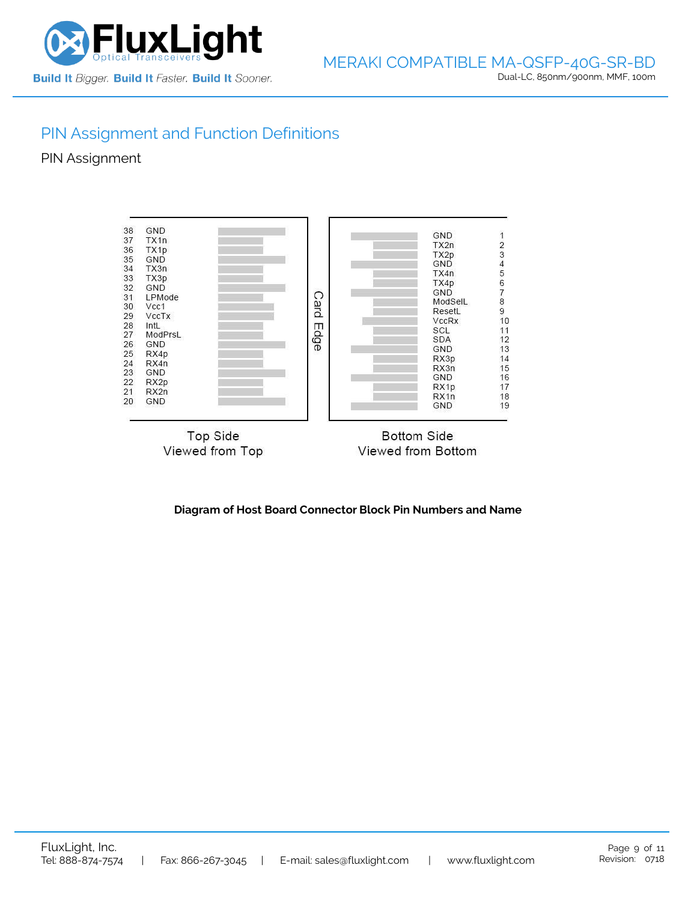

# PIN Assignment and Function Definitions

PIN Assignment



**Diagram of Host Board Connector Block Pin Numbers and Name**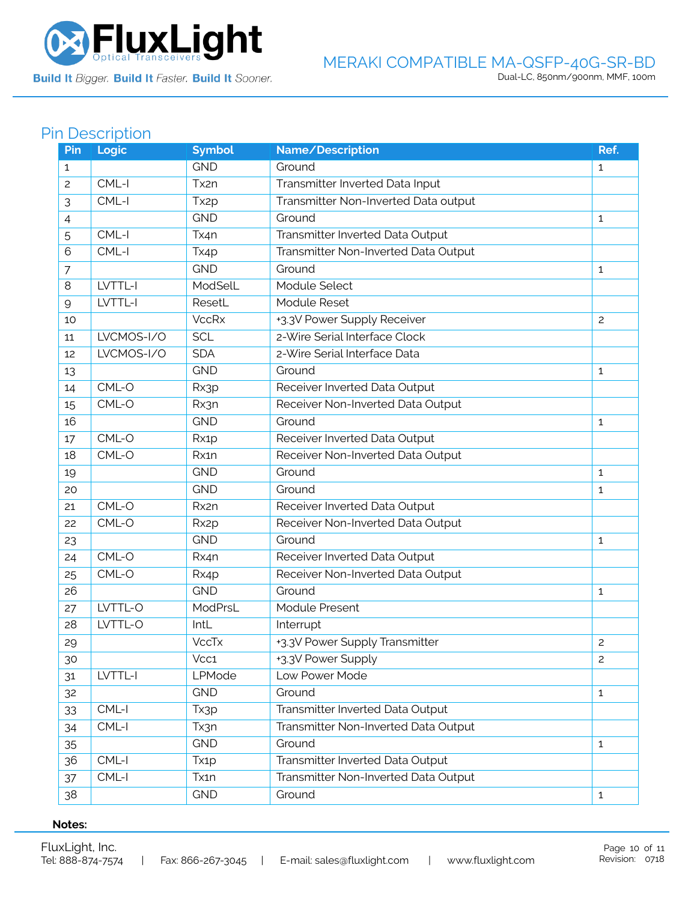

Build It Bigger. Build It Faster. Build It Sooner.

#### MERAKI COMPATIBLE MA-QSFP-40G-SR-BD Dual-LC, 850nm/900nm, MMF, 100m

# Pin Description

| Pin | Logic      | <b>Symbol</b>     | Name/Description                     | Ref.           |
|-----|------------|-------------------|--------------------------------------|----------------|
| 1   |            | <b>GND</b>        | Ground                               | $\mathbf{1}$   |
| 2   | CML-I      | Tx2n              | Transmitter Inverted Data Input      |                |
| 3   | CML-I      | Tx <sub>2p</sub>  | Transmitter Non-Inverted Data output |                |
| 4   |            | <b>GND</b>        | Ground                               | $\mathbf{1}$   |
| 5   | CML-I      | Tx4n              | Transmitter Inverted Data Output     |                |
| 6   | CML-I      | Tx4p              | Transmitter Non-Inverted Data Output |                |
| 7   |            | <b>GND</b>        | Ground                               | $\mathbf{1}$   |
| 8   | LVTTL-I    | ModSelL           | Module Select                        |                |
| 9   | LVTTL-I    | ResetL            | Module Reset                         |                |
| 10  |            | <b>VccRx</b>      | +3.3V Power Supply Receiver          | $\overline{c}$ |
| 11  | LVCMOS-I/O | <b>SCL</b>        | 2-Wire Serial Interface Clock        |                |
| 12  | LVCMOS-I/O | <b>SDA</b>        | 2-Wire Serial Interface Data         |                |
| 13  |            | <b>GND</b>        | Ground                               | 1              |
| 14  | CML-O      | Rx3p              | Receiver Inverted Data Output        |                |
| 15  | CML-O      | Rx3n              | Receiver Non-Inverted Data Output    |                |
| 16  |            | <b>GND</b>        | Ground                               | 1              |
| 17  | CML-O      | Rx1p              | Receiver Inverted Data Output        |                |
| 18  | CML-O      | Rx1n              | Receiver Non-Inverted Data Output    |                |
| 19  |            | <b>GND</b>        | Ground                               | $\mathbf{1}$   |
| 20  |            | <b>GND</b>        | Ground                               | 1              |
| 21  | CML-O      | Rx2n              | Receiver Inverted Data Output        |                |
| 22  | CML-O      | Rx <sub>2</sub> p | Receiver Non-Inverted Data Output    |                |
| 23  |            | <b>GND</b>        | Ground                               | 1              |
| 24  | CML-O      | Rx4n              | Receiver Inverted Data Output        |                |
| 25  | CML-O      | Rx4p              | Receiver Non-Inverted Data Output    |                |
| 26  |            | <b>GND</b>        | Ground                               | 1              |
| 27  | LVTTL-O    | ModPrsL           | Module Present                       |                |
| 28  | LVTTL-O    | IntL              | Interrupt                            |                |
| 29  |            | <b>VccTx</b>      | +3.3V Power Supply Transmitter       | $\mathbf{2}$   |
| 30  |            | Vcc1              | +3.3V Power Supply                   | $\overline{c}$ |
| 31  | LVTTL-I    | LPMode            | Low Power Mode                       |                |
| 32  |            | <b>GND</b>        | Ground                               | $\mathbf{1}$   |
| 33  | CML-I      | Tx3p              | Transmitter Inverted Data Output     |                |
| 34  | CML-I      | Tx3n              | Transmitter Non-Inverted Data Output |                |
| 35  |            | <b>GND</b>        | Ground                               | $\mathbf{1}$   |
| 36  | CML-I      | Tx <sub>1</sub> p | Transmitter Inverted Data Output     |                |
| 37  | $CML-I$    | Tx1n              | Transmitter Non-Inverted Data Output |                |
| 38  |            | <b>GND</b>        | Ground                               | $\mathbf{1}$   |

#### **Notes:**